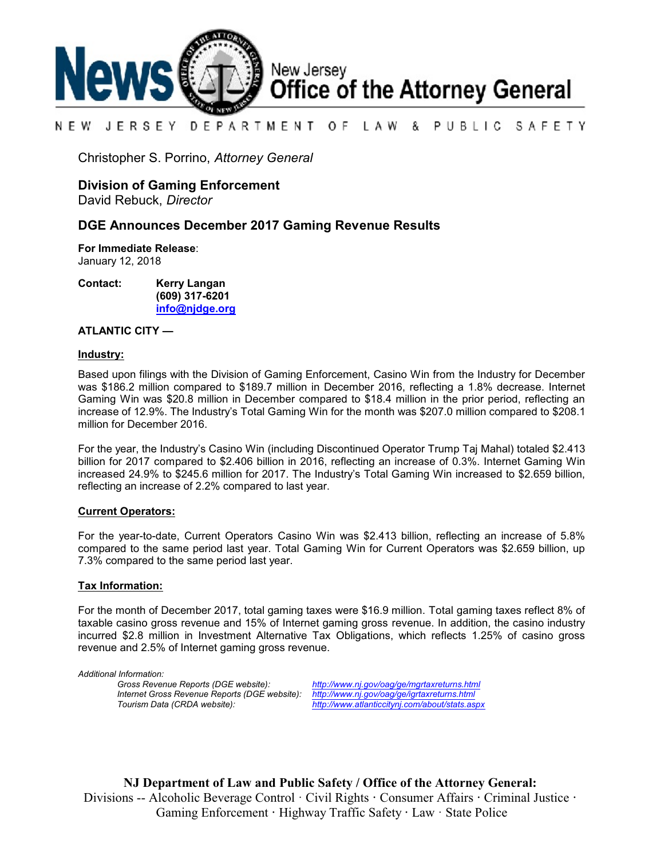

#### NEW JERSEY DEPARTMENT OF. LAW & PUBLIC SAFETY

Christopher S. Porrino, *Attorney General*

# **Division of Gaming Enforcement**

David Rebuck, *Director*

## **DGE Announces December 2017 Gaming Revenue Results**

**For Immediate Release**: January 12, 2018

**Contact: Kerry Langan (609) 317-6201 [info@njdge.org](file:///|//info@njdge.org)**

#### **ATLANTIC CITY —**

#### **Industry:**

Based upon filings with the Division of Gaming Enforcement, Casino Win from the Industry for December was \$186.2 million compared to \$189.7 million in December 2016, reflecting a 1.8% decrease. Internet Gaming Win was \$20.8 million in December compared to \$18.4 million in the prior period, reflecting an increase of 12.9%. The Industry's Total Gaming Win for the month was \$207.0 million compared to \$208.1 million for December 2016.

For the year, the Industry's Casino Win (including Discontinued Operator Trump Taj Mahal) totaled \$2.413 billion for 2017 compared to \$2.406 billion in 2016, reflecting an increase of 0.3%. Internet Gaming Win increased 24.9% to \$245.6 million for 2017. The Industry's Total Gaming Win increased to \$2.659 billion, reflecting an increase of 2.2% compared to last year.

#### **Current Operators:**

For the year-to-date, Current Operators Casino Win was \$2.413 billion, reflecting an increase of 5.8% compared to the same period last year. Total Gaming Win for Current Operators was \$2.659 billion, up 7.3% compared to the same period last year.

### **Tax Information:**

For the month of December 2017, total gaming taxes were \$16.9 million. Total gaming taxes reflect 8% of taxable casino gross revenue and 15% of Internet gaming gross revenue. In addition, the casino industry incurred \$2.8 million in Investment Alternative Tax Obligations, which reflects 1.25% of casino gross revenue and 2.5% of Internet gaming gross revenue.

*Additional Information: Internet Gross Revenue Reports (DGE website): <http://www.nj.gov/oag/ge/igrtaxreturns.html>*

*Gross Revenue Reports (DGE website): <http://www.nj.gov/oag/ge/mgrtaxreturns.html> Tourism Data (CRDA website): <http://www.atlanticcitynj.com/about/stats.aspx>*

**NJ Department of Law and Public Safety / Office of the Attorney General:** Divisions -- Alcoholic Beverage Control · Civil Rights **·** Consumer Affairs **·** Criminal Justice **·**  Gaming Enforcement **·** Highway Traffic Safety **·** Law · State Police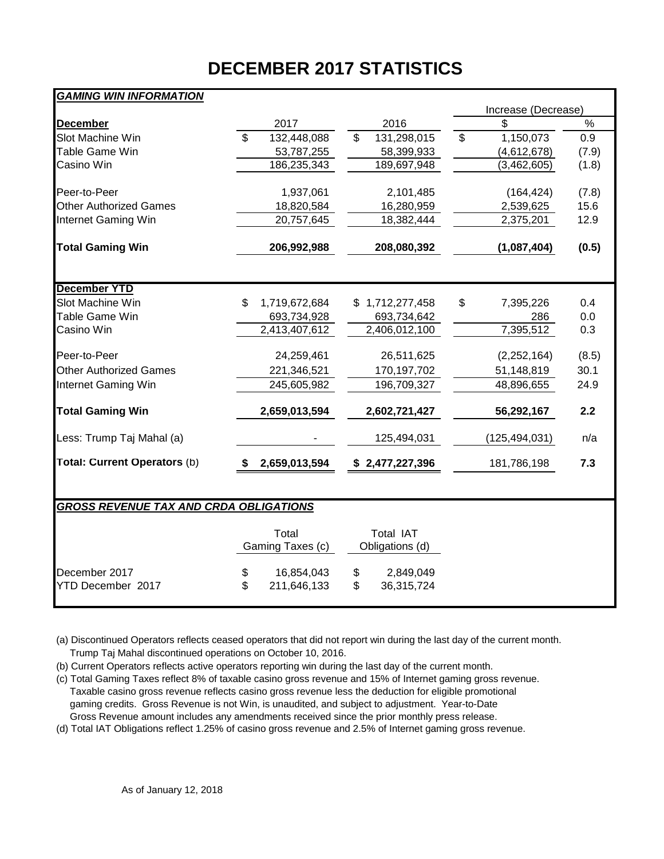# **DECEMBER 2017 STATISTICS**

| Increase (Decrease)<br>%<br>2017<br>2016<br>\$<br><b>December</b><br>Slot Machine Win<br>$\mathfrak{L}$<br>132,448,088<br>\$<br>131,298,015<br>1,150,073<br>0.9<br>\$<br>Table Game Win<br>53,787,255<br>58,399,933<br>(4,612,678)<br>(7.9)<br>Casino Win<br>186,235,343<br>189,697,948<br>(3,462,605)<br>(1.8)<br>Peer-to-Peer<br>1,937,061<br>2,101,485<br>(164, 424)<br>(7.8)<br><b>Other Authorized Games</b><br>15.6<br>18,820,584<br>16,280,959<br>2,539,625<br>Internet Gaming Win<br>20,757,645<br>18,382,444<br>2,375,201<br>12.9<br><b>Total Gaming Win</b><br>206,992,988<br>208,080,392<br>(1,087,404)<br>(0.5)<br><b>December YTD</b><br>Slot Machine Win<br>\$<br>1,719,672,684<br>1,712,277,458<br>\$<br>7,395,226<br>0.4<br>S.<br>Table Game Win<br>0.0<br>693,734,928<br>693,734,642<br>286<br>7,395,512<br>Casino Win<br>2,413,407,612<br>2,406,012,100<br>0.3<br>26,511,625<br>Peer-to-Peer<br>24,259,461<br>(2,252,164)<br>(8.5)<br><b>Other Authorized Games</b><br>170,197,702<br>30.1<br>221,346,521<br>51,148,819<br>Internet Gaming Win<br>245,605,982<br>196,709,327<br>48,896,655<br>24.9<br><b>Total Gaming Win</b><br>2,659,013,594<br>2.2<br>2,602,721,427<br>56,292,167<br>Less: Trump Taj Mahal (a)<br>125,494,031<br>(125, 494, 031)<br>n/a<br>Total: Current Operators (b)<br>7.3<br>2,659,013,594<br>\$2,477,227,396<br>181,786,198<br><b>GROSS REVENUE TAX AND CRDA OBLIGATIONS</b><br>Total<br>Total IAT<br>Gaming Taxes (c)<br>Obligations (d)<br>December 2017<br>16,854,043<br>\$<br>2,849,049<br>\$ | <b>GAMING WIN INFORMATION</b> |                   |                  |  |  |  |  |  |  |  |  |  |  |
|----------------------------------------------------------------------------------------------------------------------------------------------------------------------------------------------------------------------------------------------------------------------------------------------------------------------------------------------------------------------------------------------------------------------------------------------------------------------------------------------------------------------------------------------------------------------------------------------------------------------------------------------------------------------------------------------------------------------------------------------------------------------------------------------------------------------------------------------------------------------------------------------------------------------------------------------------------------------------------------------------------------------------------------------------------------------------------------------------------------------------------------------------------------------------------------------------------------------------------------------------------------------------------------------------------------------------------------------------------------------------------------------------------------------------------------------------------------------------------------------------------------------------------------------|-------------------------------|-------------------|------------------|--|--|--|--|--|--|--|--|--|--|
|                                                                                                                                                                                                                                                                                                                                                                                                                                                                                                                                                                                                                                                                                                                                                                                                                                                                                                                                                                                                                                                                                                                                                                                                                                                                                                                                                                                                                                                                                                                                              |                               |                   |                  |  |  |  |  |  |  |  |  |  |  |
|                                                                                                                                                                                                                                                                                                                                                                                                                                                                                                                                                                                                                                                                                                                                                                                                                                                                                                                                                                                                                                                                                                                                                                                                                                                                                                                                                                                                                                                                                                                                              |                               |                   |                  |  |  |  |  |  |  |  |  |  |  |
|                                                                                                                                                                                                                                                                                                                                                                                                                                                                                                                                                                                                                                                                                                                                                                                                                                                                                                                                                                                                                                                                                                                                                                                                                                                                                                                                                                                                                                                                                                                                              |                               |                   |                  |  |  |  |  |  |  |  |  |  |  |
|                                                                                                                                                                                                                                                                                                                                                                                                                                                                                                                                                                                                                                                                                                                                                                                                                                                                                                                                                                                                                                                                                                                                                                                                                                                                                                                                                                                                                                                                                                                                              |                               |                   |                  |  |  |  |  |  |  |  |  |  |  |
|                                                                                                                                                                                                                                                                                                                                                                                                                                                                                                                                                                                                                                                                                                                                                                                                                                                                                                                                                                                                                                                                                                                                                                                                                                                                                                                                                                                                                                                                                                                                              |                               |                   |                  |  |  |  |  |  |  |  |  |  |  |
|                                                                                                                                                                                                                                                                                                                                                                                                                                                                                                                                                                                                                                                                                                                                                                                                                                                                                                                                                                                                                                                                                                                                                                                                                                                                                                                                                                                                                                                                                                                                              |                               |                   |                  |  |  |  |  |  |  |  |  |  |  |
|                                                                                                                                                                                                                                                                                                                                                                                                                                                                                                                                                                                                                                                                                                                                                                                                                                                                                                                                                                                                                                                                                                                                                                                                                                                                                                                                                                                                                                                                                                                                              |                               |                   |                  |  |  |  |  |  |  |  |  |  |  |
|                                                                                                                                                                                                                                                                                                                                                                                                                                                                                                                                                                                                                                                                                                                                                                                                                                                                                                                                                                                                                                                                                                                                                                                                                                                                                                                                                                                                                                                                                                                                              |                               |                   |                  |  |  |  |  |  |  |  |  |  |  |
|                                                                                                                                                                                                                                                                                                                                                                                                                                                                                                                                                                                                                                                                                                                                                                                                                                                                                                                                                                                                                                                                                                                                                                                                                                                                                                                                                                                                                                                                                                                                              |                               |                   |                  |  |  |  |  |  |  |  |  |  |  |
|                                                                                                                                                                                                                                                                                                                                                                                                                                                                                                                                                                                                                                                                                                                                                                                                                                                                                                                                                                                                                                                                                                                                                                                                                                                                                                                                                                                                                                                                                                                                              |                               |                   |                  |  |  |  |  |  |  |  |  |  |  |
|                                                                                                                                                                                                                                                                                                                                                                                                                                                                                                                                                                                                                                                                                                                                                                                                                                                                                                                                                                                                                                                                                                                                                                                                                                                                                                                                                                                                                                                                                                                                              |                               |                   |                  |  |  |  |  |  |  |  |  |  |  |
|                                                                                                                                                                                                                                                                                                                                                                                                                                                                                                                                                                                                                                                                                                                                                                                                                                                                                                                                                                                                                                                                                                                                                                                                                                                                                                                                                                                                                                                                                                                                              |                               |                   |                  |  |  |  |  |  |  |  |  |  |  |
|                                                                                                                                                                                                                                                                                                                                                                                                                                                                                                                                                                                                                                                                                                                                                                                                                                                                                                                                                                                                                                                                                                                                                                                                                                                                                                                                                                                                                                                                                                                                              |                               |                   |                  |  |  |  |  |  |  |  |  |  |  |
|                                                                                                                                                                                                                                                                                                                                                                                                                                                                                                                                                                                                                                                                                                                                                                                                                                                                                                                                                                                                                                                                                                                                                                                                                                                                                                                                                                                                                                                                                                                                              |                               |                   |                  |  |  |  |  |  |  |  |  |  |  |
|                                                                                                                                                                                                                                                                                                                                                                                                                                                                                                                                                                                                                                                                                                                                                                                                                                                                                                                                                                                                                                                                                                                                                                                                                                                                                                                                                                                                                                                                                                                                              |                               |                   |                  |  |  |  |  |  |  |  |  |  |  |
|                                                                                                                                                                                                                                                                                                                                                                                                                                                                                                                                                                                                                                                                                                                                                                                                                                                                                                                                                                                                                                                                                                                                                                                                                                                                                                                                                                                                                                                                                                                                              |                               |                   |                  |  |  |  |  |  |  |  |  |  |  |
|                                                                                                                                                                                                                                                                                                                                                                                                                                                                                                                                                                                                                                                                                                                                                                                                                                                                                                                                                                                                                                                                                                                                                                                                                                                                                                                                                                                                                                                                                                                                              |                               |                   |                  |  |  |  |  |  |  |  |  |  |  |
|                                                                                                                                                                                                                                                                                                                                                                                                                                                                                                                                                                                                                                                                                                                                                                                                                                                                                                                                                                                                                                                                                                                                                                                                                                                                                                                                                                                                                                                                                                                                              |                               |                   |                  |  |  |  |  |  |  |  |  |  |  |
|                                                                                                                                                                                                                                                                                                                                                                                                                                                                                                                                                                                                                                                                                                                                                                                                                                                                                                                                                                                                                                                                                                                                                                                                                                                                                                                                                                                                                                                                                                                                              |                               |                   |                  |  |  |  |  |  |  |  |  |  |  |
|                                                                                                                                                                                                                                                                                                                                                                                                                                                                                                                                                                                                                                                                                                                                                                                                                                                                                                                                                                                                                                                                                                                                                                                                                                                                                                                                                                                                                                                                                                                                              |                               |                   |                  |  |  |  |  |  |  |  |  |  |  |
|                                                                                                                                                                                                                                                                                                                                                                                                                                                                                                                                                                                                                                                                                                                                                                                                                                                                                                                                                                                                                                                                                                                                                                                                                                                                                                                                                                                                                                                                                                                                              |                               |                   |                  |  |  |  |  |  |  |  |  |  |  |
|                                                                                                                                                                                                                                                                                                                                                                                                                                                                                                                                                                                                                                                                                                                                                                                                                                                                                                                                                                                                                                                                                                                                                                                                                                                                                                                                                                                                                                                                                                                                              |                               |                   |                  |  |  |  |  |  |  |  |  |  |  |
|                                                                                                                                                                                                                                                                                                                                                                                                                                                                                                                                                                                                                                                                                                                                                                                                                                                                                                                                                                                                                                                                                                                                                                                                                                                                                                                                                                                                                                                                                                                                              |                               |                   |                  |  |  |  |  |  |  |  |  |  |  |
|                                                                                                                                                                                                                                                                                                                                                                                                                                                                                                                                                                                                                                                                                                                                                                                                                                                                                                                                                                                                                                                                                                                                                                                                                                                                                                                                                                                                                                                                                                                                              | YTD December 2017             | \$<br>211,646,133 | \$<br>36,315,724 |  |  |  |  |  |  |  |  |  |  |

(a) Discontinued Operators reflects ceased operators that did not report win during the last day of the current month. Trump Taj Mahal discontinued operations on October 10, 2016.

(b) Current Operators reflects active operators reporting win during the last day of the current month.

(c) Total Gaming Taxes reflect 8% of taxable casino gross revenue and 15% of Internet gaming gross revenue. Taxable casino gross revenue reflects casino gross revenue less the deduction for eligible promotional gaming credits. Gross Revenue is not Win, is unaudited, and subject to adjustment. Year-to-Date Gross Revenue amount includes any amendments received since the prior monthly press release.

(d) Total IAT Obligations reflect 1.25% of casino gross revenue and 2.5% of Internet gaming gross revenue.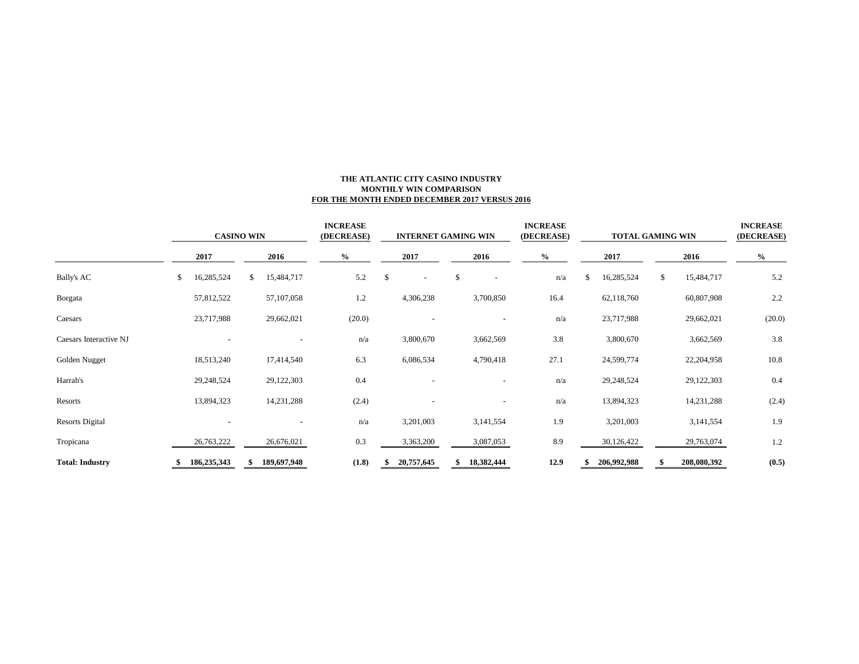#### **THE ATLANTIC CITY CASINO INDUSTRY MONTHLY WIN COMPARISON FOR THE MONTH ENDED DECEMBER 2017 VERSUS 2016**

|                        | <b>CASINO WIN</b> |    | <b>INCREASE</b><br>(DECREASE) |        | <b>INTERNET GAMING WIN</b> |                          |      | <b>INCREASE</b><br>(DECREASE) |      | <b>TOTAL GAMING WIN</b> | <b>INCREASE</b><br>(DECREASE) |      |             |        |
|------------------------|-------------------|----|-------------------------------|--------|----------------------------|--------------------------|------|-------------------------------|------|-------------------------|-------------------------------|------|-------------|--------|
| Bally's AC             | 2017              |    | 2016                          | $\%$   | 2017                       |                          | 2016 |                               | $\%$ | 2017                    |                               | 2016 |             | $\%$   |
|                        | \$<br>16,285,524  | S. | 15,484,717                    | 5.2    | \$                         | $\overline{\phantom{a}}$ | \$   | $\overline{\phantom{a}}$      | n/a  | \$.                     | 16,285,524                    |      | 15,484,717  | 5.2    |
| Borgata                | 57,812,522        |    | 57,107,058                    | 1.2    |                            | 4,306,238                |      | 3,700,850                     | 16.4 |                         | 62,118,760                    |      | 60,807,908  | 2.2    |
| Caesars                | 23,717,988        |    | 29,662,021                    | (20.0) |                            |                          |      |                               | n/a  |                         | 23,717,988                    |      | 29,662,021  | (20.0) |
| Caesars Interactive NJ |                   |    |                               | n/a    |                            | 3,800,670                |      | 3,662,569                     | 3.8  |                         | 3,800,670                     |      | 3,662,569   | 3.8    |
| Golden Nugget          | 18,513,240        |    | 17,414,540                    | 6.3    |                            | 6,086,534                |      | 4,790,418                     | 27.1 |                         | 24,599,774                    |      | 22,204,958  | 10.8   |
| Harrah's               | 29,248,524        |    | 29,122,303                    | 0.4    |                            |                          |      |                               | n/a  |                         | 29,248,524                    |      | 29,122,303  | 0.4    |
| Resorts                | 13,894,323        |    | 14,231,288                    | (2.4)  |                            |                          |      |                               | n/a  |                         | 13,894,323                    |      | 14,231,288  | (2.4)  |
| <b>Resorts Digital</b> |                   |    |                               | n/a    |                            | 3,201,003                |      | 3,141,554                     | 1.9  |                         | 3,201,003                     |      | 3,141,554   | 1.9    |
| Tropicana              | 26,763,222        |    | 26,676,021                    | 0.3    |                            | 3,363,200                |      | 3,087,053                     | 8.9  |                         | 30,126,422                    |      | 29,763,074  | 1.2    |
| <b>Total: Industry</b> | 186,235,343       |    | 189,697,948                   | (1.8)  |                            | 20,757,645               |      | 18,382,444                    | 12.9 |                         | 206,992,988                   |      | 208,080,392 | (0.5)  |